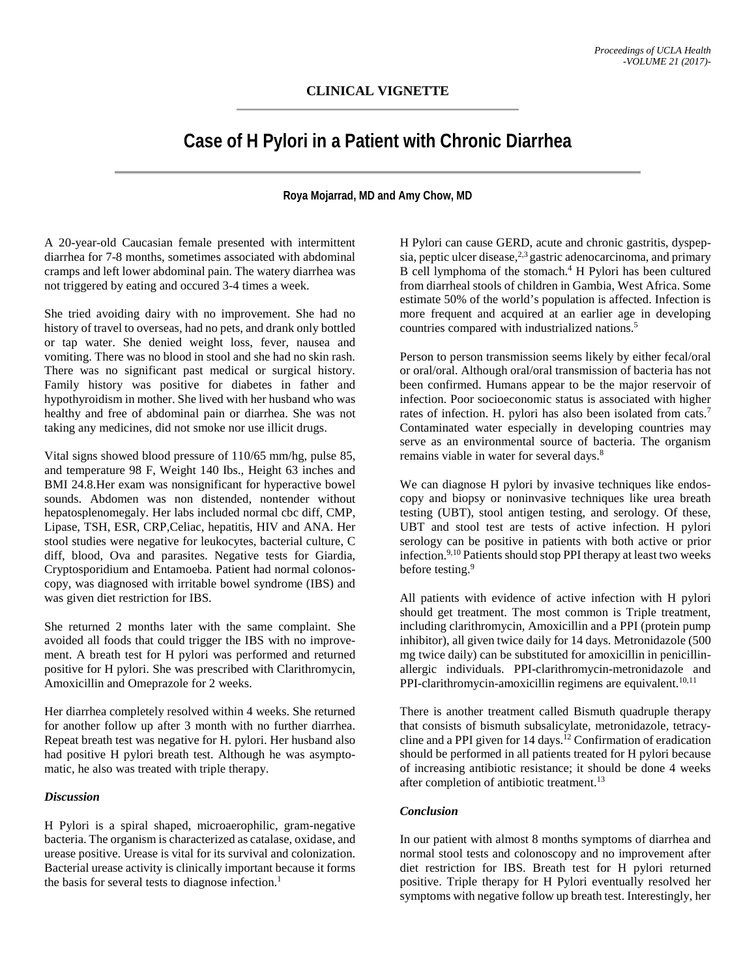# **CLINICAL VIGNETTE**

# **Case of H Pylori in a Patient with Chronic Diarrhea**

**Roya Mojarrad, MD and Amy Chow, MD**

A 20-year-old Caucasian female presented with intermittent diarrhea for 7-8 months, sometimes associated with abdominal cramps and left lower abdominal pain. The watery diarrhea was not triggered by eating and occured 3-4 times a week.

She tried avoiding dairy with no improvement. She had no history of travel to overseas, had no pets, and drank only bottled or tap water. She denied weight loss, fever, nausea and vomiting. There was no blood in stool and she had no skin rash. There was no significant past medical or surgical history. Family history was positive for diabetes in father and hypothyroidism in mother. She lived with her husband who was healthy and free of abdominal pain or diarrhea. She was not taking any medicines, did not smoke nor use illicit drugs.

Vital signs showed blood pressure of 110/65 mm/hg, pulse 85, and temperature 98 F, Weight 140 Ibs., Height 63 inches and BMI 24.8.Her exam was nonsignificant for hyperactive bowel sounds. Abdomen was non distended, nontender without hepatosplenomegaly. Her labs included normal cbc diff, CMP, Lipase, TSH, ESR, CRP,Celiac, hepatitis, HIV and ANA. Her stool studies were negative for leukocytes, bacterial culture, C diff, blood, Ova and parasites. Negative tests for Giardia, Cryptosporidium and Entamoeba. Patient had normal colonoscopy, was diagnosed with irritable bowel syndrome (IBS) and was given diet restriction for IBS.

She returned 2 months later with the same complaint. She avoided all foods that could trigger the IBS with no improvement. A breath test for H pylori was performed and returned positive for H pylori. She was prescribed with Clarithromycin, Amoxicillin and Omeprazole for 2 weeks.

Her diarrhea completely resolved within 4 weeks. She returned for another follow up after 3 month with no further diarrhea. Repeat breath test was negative for H. pylori. Her husband also had positive H pylori breath test. Although he was asymptomatic, he also was treated with triple therapy.

#### *Discussion*

H Pylori is a spiral shaped, microaerophilic, gram-negative bacteria. The organism is characterized as catalase, oxidase, and urease positive. Urease is vital for its survival and colonization. Bacterial urease activity is clinically important because it forms the basis for several tests to diagnose infection.<sup>1</sup>

H Pylori can cause GERD, acute and chronic gastritis, dyspepsia, peptic ulcer disease, $2,3$  gastric adenocarcinoma, and primary B cell lymphoma of the stomach. $4$  H Pylori has been cultured from diarrheal stools of children in Gambia, West Africa. Some estimate 50% of the world's population is affected. Infection is more frequent and acquired at an earlier age in developing countries compared with industrialized nations.<sup>5</sup>

Person to person transmission seems likely by either fecal/oral or oral/oral. Although oral/oral transmission of bacteria has not been confirmed. Humans appear to be the major reservoir of infection. Poor socioeconomic status is associated with higher rates of infection. H. pylori has also been isolated from cats.<sup>7</sup> Contaminated water especially in developing countries may serve as an environmental source of bacteria. The organism remains viable in water for several days.<sup>8</sup>

We can diagnose H pylori by invasive techniques like endoscopy and biopsy or noninvasive techniques like urea breath testing (UBT), stool antigen testing, and serology. Of these, UBT and stool test are tests of active infection. H pylori serology can be positive in patients with both active or prior infection.<sup>9,10</sup> Patients should stop PPI therapy at least two weeks before testing.<sup>9</sup>

All patients with evidence of active infection with H pylori should get treatment. The most common is Triple treatment, including clarithromycin, Amoxicillin and a PPI (protein pump inhibitor), all given twice daily for 14 days. Metronidazole (500 mg twice daily) can be substituted for amoxicillin in penicillinallergic individuals. PPI-clarithromycin-metronidazole and PPI-clarithromycin-amoxicillin regimens are equivalent.<sup>10,11</sup>

There is another treatment called Bismuth quadruple therapy that consists of bismuth subsalicylate, metronidazole, tetracycline and a PPI given for  $14 \text{ days}$ .<sup>12</sup> Confirmation of eradication should be performed in all patients treated for H pylori because of increasing antibiotic resistance; it should be done 4 weeks after completion of antibiotic treatment.<sup>13</sup>

## *Conclusion*

In our patient with almost 8 months symptoms of diarrhea and normal stool tests and colonoscopy and no improvement after diet restriction for IBS. Breath test for H pylori returned positive. Triple therapy for H Pylori eventually resolved her symptoms with negative follow up breath test. Interestingly, her